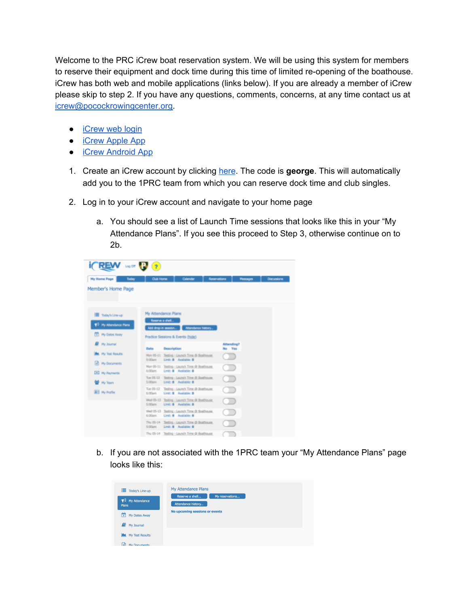Welcome to the PRC iCrew boat reservation system. We will be using this system for members to reserve their equipment and dock time during this time of limited re-opening of the boathouse. iCrew has both web and mobile applications (links below). If you are already a member of iCrew please skip to step 2. If you have any questions, comments, concerns, at any time contact us at [icrew@pocockrowingcenter.org.](mailto:icrew@pocockrowingcenter.org)

- [iCrew](https://www.icrew.club/logon?index=1) web login
- **iCrew [Apple](https://apps.apple.com/us/app/icrew-rowing/id1317391820) App**
- **iCrew [Android](https://play.google.com/store/apps/details?id=com.icrew.icrewapp&hl=en) App**
- 1. Create an iCrew account by clicking [here.](https://www.icrew.club/signup?crewOrg=PRC&crewRegProfile=1PRC) The code is **george**. This will automatically add you to the 1PRC team from which you can reserve dock time and club singles.
- 2. Log in to your iCrew account and navigate to your home page
	- a. You should see a list of Launch Time sessions that looks like this in your "My Attendance Plans". If you see this proceed to Step 3, otherwise continue on to 2b.

| $i$ (REW $\approx$ R $\alpha$ )                                |                                         |                                                                              |                      |                 |             |
|----------------------------------------------------------------|-----------------------------------------|------------------------------------------------------------------------------|----------------------|-----------------|-------------|
| <b>My Home Page</b><br>Taday                                   | <b>Oub Home</b>                         | Calendar                                                                     | <b>Reservations</b>  | <b>Messages</b> | Discussions |
| Member's Home Page                                             |                                         |                                                                              |                      |                 |             |
| Today's Line-up<br>17 My Attendance Plans<br>[3] My Dates Away | My Attendance Plans<br>Reserve a shell. | Add drop-in session Attendance history                                       |                      |                 |             |
|                                                                |                                         | Practice Sessions & Events (hide)                                            |                      |                 |             |
| <b>B</b> Ny Journal                                            | Buta                                    | <b>Description</b>                                                           | Attending?<br>No Yes |                 |             |
| <b>AL</b> My Test Results                                      |                                         | Mon 05-11 Testing - Launch Time @ Boethouse.<br>5.00am Limit: B Available: B |                      |                 |             |
| <b>M</b> My Documents<br>[8] My Payments                       | G. Cit'ayers                            | Mon 05-11 Testing - Launch Time @ Boethouse.<br>Limit: B Australia: B        |                      |                 |             |
| <b>ME My Toam</b>                                              | 5 O'Covre                               | Tue 05-12 Teeling - Leurach Time @ Doethouse.<br>Limit: B Available: B       |                      |                 |             |
| [All] My Profile                                               | 6.00am                                  | Tue 05-12 Testing - Launch Time @ Roethouse.<br>Limit: B Available: B        |                      |                 |             |
|                                                                |                                         | Wed 05-13 Testing - Launch Time @ Boathouse<br>5:00am Unit: B Available: B   |                      |                 |             |
|                                                                | 6:00am                                  | Wed 05-13 Testing - Launch Time @ Boethouse<br>Limit: B. Australian B.       |                      |                 |             |
|                                                                |                                         | Thu 05-14 Testing - Launch Time @ Boethouse<br>5:00am Limit: 8 Available: 8  |                      |                 |             |
|                                                                |                                         | Thu 05-14 Testing - Launch Time @ Boathouse                                  |                      |                 |             |

b. If you are not associated with the 1PRC team your "My Attendance Plans" page looks like this:

| Today's Line-up<br>$\bigtriangleup$ My Attendance<br>Plans | My Attendance Plans<br>Reserve a shell<br>My reservations<br>Attendance history |
|------------------------------------------------------------|---------------------------------------------------------------------------------|
| ٣Î<br>My Dates Away                                        | No upcoming sessions or events                                                  |
| E)<br>My Journal                                           |                                                                                 |
| My Test Results                                            |                                                                                 |
| ۱÷<br>My Documente                                         |                                                                                 |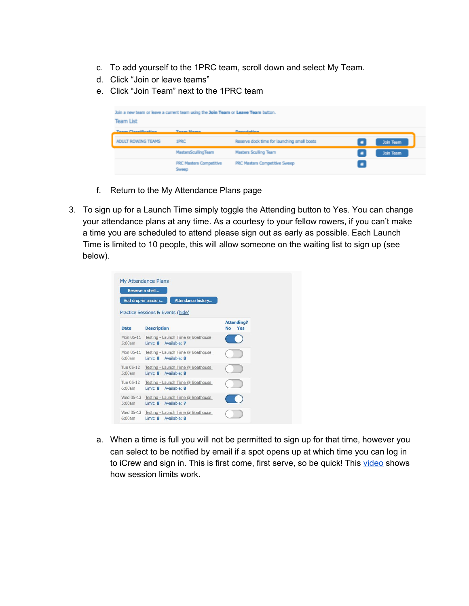- c. To add yourself to the 1PRC team, scroll down and select My Team.
- d. Click "Join or leave teams"
- e. Click "Join Team" next to the 1PRC team

| <b>Team List</b>           | Join a new team or leave a current team using the Join Team or Leave Team button. |                                             |           |
|----------------------------|-----------------------------------------------------------------------------------|---------------------------------------------|-----------|
| <b>Team Classification</b> | <b>Team Mame</b>                                                                  | <b>Description</b>                          |           |
| ADULT ROWING TEAMS         | 1PRC                                                                              | Reserve dock time for launching small boats | Join Team |
|                            | <b>MastersScullingTeam</b>                                                        | <b>Masters Sculling Team</b>                | Join Team |
|                            | <b>PRC Masters Competitive</b><br>Sweep                                           | PRC Masters Competitive Sweep               |           |

- f. Return to the My Attendance Plans page
- 3. To sign up for a Launch Time simply toggle the Attending button to Yes. You can change your attendance plans at any time. As a courtesy to your fellow rowers, if you can't make a time you are scheduled to attend please sign out as early as possible. Each Launch Time is limited to 10 people, this will allow someone on the waiting list to sign up (see below).

|                     | <b>My Attendance Plans</b><br>Reserve a shell                                  |                      |
|---------------------|--------------------------------------------------------------------------------|----------------------|
|                     | Add drop-in session<br>Attendance history<br>Practice Sessions & Events (hide) |                      |
| <b>Date</b>         | <b>Description</b>                                                             | Attending?<br>No Yes |
| Mon 05-11<br>5:00am | Testing - Launch Time @ Boathouse<br>Limit: 8 Available: 7                     |                      |
| 6:00am              | Mon 05-11 Testing - Launch Time @ Boathouse<br>Limit: 8 Available: 8           |                      |
| Tue 05-12<br>5:00am | Testing - Launch Time @ Boathouse<br>Limit: 8 Available: 8                     |                      |
| Tue 05-12<br>6:00am | Testing - Launch Time @ Boathouse<br>Limit: 8 Available: 8                     |                      |
| 5:00am              | Wed 05-13 Testing - Launch Time @ Boathouse<br>Limit: 8 Available: 7           |                      |
| 6:00am              | Wed 05-13 Testing - Launch Time @ Boathouse<br>Limit: 8 Available: 8           |                      |

a. When a time is full you will not be permitted to sign up for that time, however you can select to be notified by email if a spot opens up at which time you can log in to iCrew and sign in. This is first come, first serve, so be quick! This [video](https://www.youtube.com/embed/yffRmzauBgs?start=147&end=189) shows how session limits work.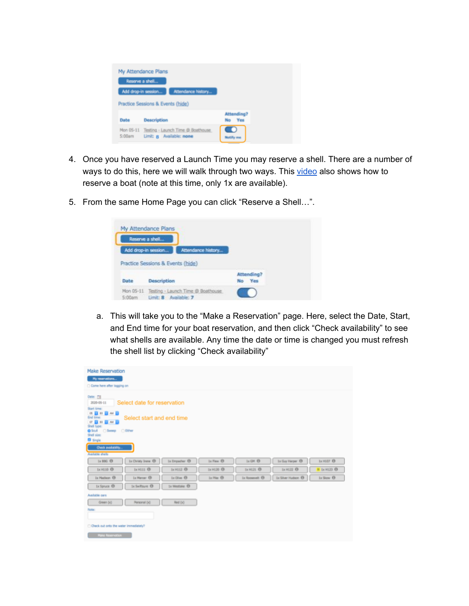|        | My Attendance Plans<br>Reserve a shell                                         |                                |
|--------|--------------------------------------------------------------------------------|--------------------------------|
|        | Attendance history<br>Add drop-in session<br>Practice Sessions & Events (hide) |                                |
| Date   | <b>Description</b>                                                             | <b>Attending?</b><br>Yes<br>No |
| 5:00am | Mon 05-11 Testing - Launch Time @ Boathouse<br>Limit: 8 Available: none        |                                |

- 4. Once you have reserved a Launch Time you may reserve a shell. There are a number of ways to do this, here we will walk through two ways. This [video](https://www.youtube.com/embed/yffRmzauBgs?start=307&end=374) also shows how to reserve a boat (note at this time, only 1x are available).
- 5. From the same Home Page you can click "Reserve a Shell…".

| Reserve a shell.    |                                   |                    |            |
|---------------------|-----------------------------------|--------------------|------------|
| Add drop-in session |                                   | Attendance history |            |
|                     | Practice Sessions & Events (hide) |                    |            |
|                     |                                   |                    | Attending? |
| Date                | Description                       |                    | No Yes     |

<span id="page-2-0"></span>a. This will take you to the "Make a Reservation" page. Here, select the Date, Start, and End time for your boat reservation, and then click "Check availability" to see what shells are available. Any time the date or time is changed you must refresh the shell list by clicking "Check availability"

| <b>Make Reservation</b><br>My nearvations                                                                                                                                                                                                                            |                      |                             |                        |                               |
|----------------------------------------------------------------------------------------------------------------------------------------------------------------------------------------------------------------------------------------------------------------------|----------------------|-----------------------------|------------------------|-------------------------------|
| Come here after logging on<br>Date: [3]<br>Select date for reservation<br>2020-05-11<br>Start time:<br>05 3 40 3 AM 3<br>Select start and end time<br>End time:<br>07 3 80 3 AM 3<br>Shell type:<br><b>O</b> Staff C Sweep C Either<br>Shell size:<br><b>C</b> Sngle |                      |                             |                        |                               |
| Check availability                                                                                                                                                                                                                                                   |                      |                             |                        |                               |
| Available shells<br>Ix Christy Irene 13<br>is not O<br>Is Ergadwr ®                                                                                                                                                                                                  | Is First 13          | <b>Ja GM 43</b>             | Ix Guy Harper 1        | LEBIDT OF                     |
| 1x H110 <sup>(3)</sup><br>1x H111 <sup>O</sup><br>1x H112 <sup>(D)</sup>                                                                                                                                                                                             | 1x H120 <sup>O</sup> | 5x H121 <sup>(D)</sup>      | 1x H122 <sup>(1)</sup> | <b>H</b> 1x H123 <sup>O</sup> |
| 1x Madison (3)<br>Ix Marcar (B)<br>Ix Olive 19                                                                                                                                                                                                                       | 1x Pias 13           | Ix Roosevelt <sup>(1)</sup> | Ix Silver Hudson 1     | 1x Slow <sup>(3)</sup>        |
| Ix Swiftsure O<br>to Westake O<br>Ix Spruce O                                                                                                                                                                                                                        |                      |                             |                        |                               |
| Available cars                                                                                                                                                                                                                                                       |                      |                             |                        |                               |
| Personal (x)<br>Red (x)<br>Green (x)                                                                                                                                                                                                                                 |                      |                             |                        |                               |
| Note:                                                                                                                                                                                                                                                                |                      |                             |                        |                               |
| Check out onto the water immediately?                                                                                                                                                                                                                                |                      |                             |                        |                               |
| Make Reservation                                                                                                                                                                                                                                                     |                      |                             |                        |                               |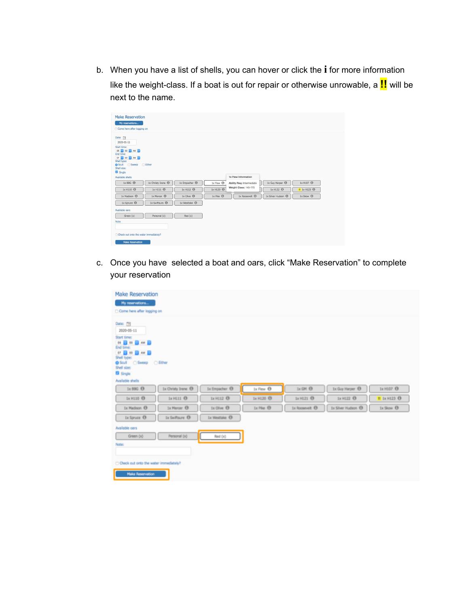b. When you have a list of shells, you can hover or click the **i** for more information like the weight-class. If a boat is out for repair or otherwise unrowable, a **!!** will be next to the name.

| <b>Make Reservation</b><br>My reservations<br>Come here after logging on                                                                    |                                                  |                                                      |
|---------------------------------------------------------------------------------------------------------------------------------------------|--------------------------------------------------|------------------------------------------------------|
| Date:<br>2020-05-11<br>Start time:<br>05 00 0 AM 8<br>End time:<br>07 0 00 0 AM 0<br>Shell type:<br>● Scull ● Sweep ● Either<br>Shell size: |                                                  |                                                      |
| Single<br>Available shells                                                                                                                  | 1x Flew Information                              |                                                      |
| 1x BBG <sup>O</sup><br>1x Christy Irene <sup>(1)</sup><br>$1x$ Empacher $\bigcirc$                                                          | $1x$ Flew $\odot$<br>Ability Req: Intermediate   | 1x Guy Harper <sup>1</sup><br>1x H107 <sup>(1)</sup> |
| 1x H111 <sup>(1)</sup><br>1x H110 <sup>(1)</sup><br>1x H112 <sup>(1)</sup>                                                                  | Weight Class: 145-175<br>1x H120 <sup>(1)</sup>  | 1x H122 <sup>(1)</sup><br>$II$ 1x H123 $O$           |
| 1x Madison <sup>@</sup><br>1x Mercer <sup>(1)</sup><br>$1x$ Olive $\Theta$                                                                  | $1x$ Pike $\odot$<br>1x Roosevelt <sup>(1)</sup> | 1x Silver Hudson @<br>1x Skow <sup>6</sup>           |
| 1x Swiftsure <sup>@</sup><br>1x Spruce <sup>(1)</sup><br>$1x$ Westlake $\Theta$                                                             |                                                  |                                                      |
| Available oars                                                                                                                              |                                                  |                                                      |
| Personal (x)<br>Green (x)<br>Red(x)                                                                                                         |                                                  |                                                      |
| Note:                                                                                                                                       |                                                  |                                                      |
|                                                                                                                                             |                                                  |                                                      |
| □ Check out onto the water immediately?                                                                                                     |                                                  |                                                      |
| <b>Make Reservation</b>                                                                                                                     |                                                  |                                                      |

c. Once you have selected a boat and oars, click "Make Reservation" to complete your reservation

| <b>Make Reservation</b><br>My reservations<br>Come here after logging on                                                                                                            |                            |                        |                             |                                 |                           |
|-------------------------------------------------------------------------------------------------------------------------------------------------------------------------------------|----------------------------|------------------------|-----------------------------|---------------------------------|---------------------------|
| Date: TH<br>2020-05-11<br>Start time:<br>05 8 00 8 AM 8<br>End time:<br>07 8 00 8 AM 8<br>Shell type:<br>Scull Sweep Clither<br>Shell size:<br><b>El</b> Single<br>Available shells |                            |                        |                             |                                 |                           |
| 1x Christy Irene ®<br>$1 \times 00G$ $\Theta$                                                                                                                                       | Ix Empacher <sup>(D)</sup> | 1x Flow <sup>(1)</sup> | $1x$ GH $\Theta$            | 1x Guy Harper <sup>(1)</sup>    | 1x H107 <sup>O</sup>      |
| Ix H110 1<br>$1 \times$ H111 $\odot$                                                                                                                                                | Ix H112 <sup>(1)</sup>     | Ix H120 <sup>(1)</sup> | 1x H121 <sup>(1)</sup>      | 1x H122 <sup>(1)</sup>          | II 1x H123 <sup>(1)</sup> |
| Ix Madison ®<br>1x Mercer <b>(B)</b>                                                                                                                                                | Ix Olive <sup>(D)</sup>    | Ix Plus <sup>(1)</sup> | 1x Roosevelt <sup>(1)</sup> | 1x Silver Hudson <sup>(1)</sup> | 1x Slow <sup>(1)</sup>    |
| 1x Spruce <sup>(1)</sup><br>1x Swiftsure <sup>(3)</sup>                                                                                                                             | 1x Westlake <sup>(D)</sup> |                        |                             |                                 |                           |
| Available cors<br>Personal (x)<br>Green (x)<br>Note:                                                                                                                                | Red (x)                    |                        |                             |                                 |                           |
| Check out onto the water immediately?<br><b>Make Reservation</b>                                                                                                                    |                            |                        |                             |                                 |                           |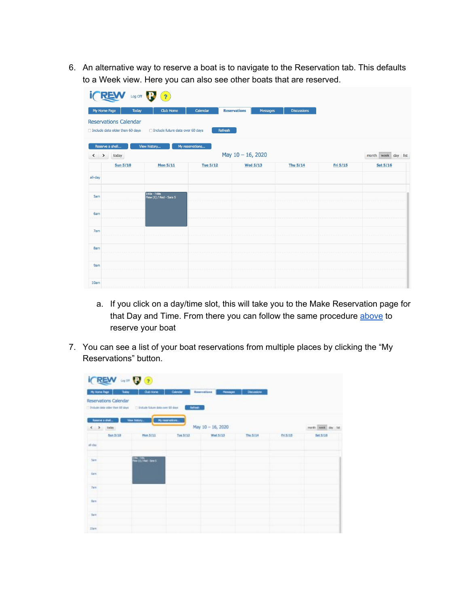6. An alternative way to reserve a boat is to navigate to the Reservation tab. This defaults to a Week view. Here you can also see other boats that are reserved.

|                                                                   | (2)<br>Log Off                           |                 |                                 |                    |          |                        |
|-------------------------------------------------------------------|------------------------------------------|-----------------|---------------------------------|--------------------|----------|------------------------|
| My Home Page                                                      | Today<br><b>Club Home</b>                | Calendar        | <b>Reservations</b><br>Messages | <b>Discussions</b> |          |                        |
| <b>Reservations Calendar</b><br>□ Include data older than 60 days | □ Include future data over 60 days       | Refresh         |                                 |                    |          |                        |
| Reserve a shell<br>today<br>$\left\langle \right\rangle$          | View history                             | My reservations | May 10 - 16, 2020               |                    |          | week day list<br>month |
|                                                                   | <b>Sun 5/10</b><br><b>Mon 5/11</b>       | <b>Tue 5/12</b> | <b>Wed 5/13</b>                 | Thu 5/14           | Fri 5/15 | <b>Sat 5/16</b>        |
| all-day                                                           |                                          |                 |                                 |                    |          |                        |
| 5am                                                               | 5:00a - 7:00a<br>Flew (1) / Red - Sara S |                 |                                 |                    |          |                        |
| 6am                                                               |                                          |                 |                                 |                    |          |                        |
| 7am                                                               |                                          |                 |                                 |                    |          |                        |
| 8am                                                               |                                          |                 |                                 |                    |          |                        |
| <b>9am</b>                                                        |                                          |                 |                                 |                    |          |                        |
| 10 <sub>am</sub>                                                  |                                          |                 |                                 |                    |          |                        |

- a. If you click on a day/time slot, this will take you to the Make Reservation page for that Day and Time. From there you can follow the same procedure [above](#page-2-0) to reserve your boat
- 7. You can see a list of your boat reservations from multiple places by clicking the "My Reservations" button.

| $ICREW = 2$                                              |                                       |                 |                                         |                 |          |                    |
|----------------------------------------------------------|---------------------------------------|-----------------|-----------------------------------------|-----------------|----------|--------------------|
| My Home Rege<br>Today                                    | <b>Club Home</b>                      | Calendar        | Reservations<br><b><i>Phistophe</i></b> | Department      |          |                    |
| Reservations Calendar<br>Trabale data older than 60 days | Ti Enckude fühure data oxer 60 days   | Refresh         |                                         |                 |          |                    |
| keerve a shell<br>$\xi \rightarrow$ 150m                 | View Natury                           | My reservations | May 10 - 16, 2020                       |                 |          | month week day hat |
| San 5/10                                                 | <b>Mon 5/11</b>                       | Ties 5/12       | <b>Wed 5/13</b>                         | <b>Thu 5/14</b> | Pri 5/15 | Set 5/16           |
| $ab$ day                                                 |                                       |                 |                                         |                 |          |                    |
| Sim                                                      | tem - Allin<br>New (11 / Red - Serv S |                 |                                         |                 |          |                    |
| Gara?                                                    |                                       |                 |                                         |                 |          |                    |
| 7am                                                      |                                       |                 |                                         |                 |          |                    |
| <b>San</b>                                               |                                       |                 |                                         |                 |          |                    |
| Gare                                                     |                                       |                 |                                         |                 |          |                    |
| $10e\pi$                                                 |                                       |                 |                                         |                 |          |                    |